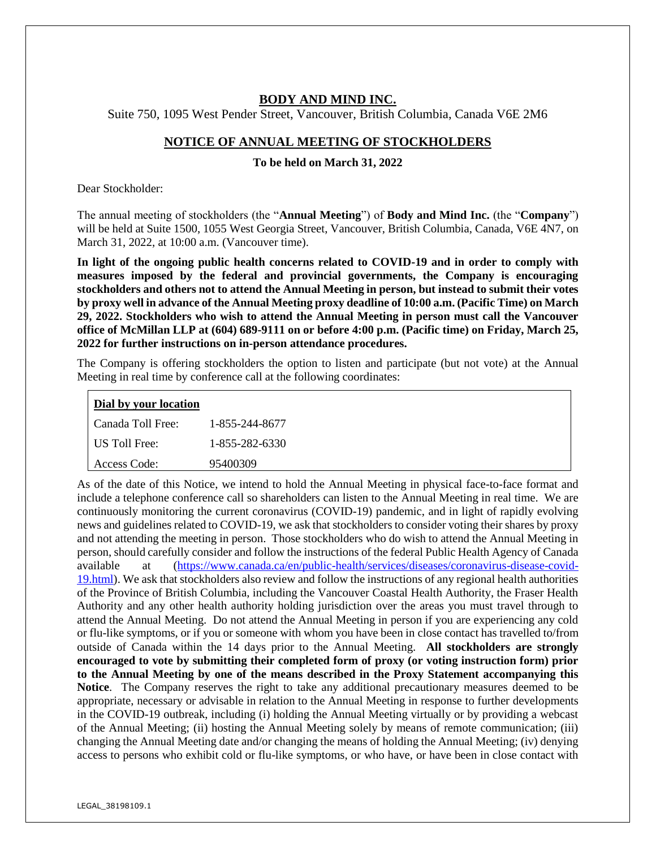# **BODY AND MIND INC.**

Suite 750, 1095 West Pender Street, Vancouver, British Columbia, Canada V6E 2M6

# **NOTICE OF ANNUAL MEETING OF STOCKHOLDERS**

**To be held on March 31, 2022**

Dear Stockholder:

The annual meeting of stockholders (the "**Annual Meeting**") of **Body and Mind Inc.** (the "**Company**") will be held at Suite 1500, 1055 West Georgia Street, Vancouver, British Columbia, Canada, V6E 4N7, on March 31, 2022, at 10:00 a.m. (Vancouver time).

**In light of the ongoing public health concerns related to COVID-19 and in order to comply with measures imposed by the federal and provincial governments, the Company is encouraging stockholders and others not to attend the Annual Meeting in person, but instead to submit their votes by proxy well in advance of the Annual Meeting proxy deadline of 10:00 a.m. (Pacific Time) on March 29, 2022. Stockholders who wish to attend the Annual Meeting in person must call the Vancouver office of McMillan LLP at (604) 689-9111 on or before 4:00 p.m. (Pacific time) on Friday, March 25, 2022 for further instructions on in-person attendance procedures.**

The Company is offering stockholders the option to listen and participate (but not vote) at the Annual Meeting in real time by conference call at the following coordinates:

| Dial by your location |                |
|-----------------------|----------------|
| l Canada Toll Free:   | 1-855-244-8677 |
| US Toll Free:         | 1-855-282-6330 |
| Access Code:          | 95400309       |

As of the date of this Notice, we intend to hold the Annual Meeting in physical face-to-face format and include a telephone conference call so shareholders can listen to the Annual Meeting in real time. We are continuously monitoring the current coronavirus (COVID-19) pandemic, and in light of rapidly evolving news and guidelines related to COVID-19, we ask that stockholders to consider voting their shares by proxy and not attending the meeting in person. Those stockholders who do wish to attend the Annual Meeting in person, should carefully consider and follow the instructions of the federal Public Health Agency of Canada available at [\(https://www.canada.ca/en/public-health/services/diseases/coronavirus-disease-covid-](https://www.canada.ca/en/public-health/services/diseases/coronavirus-disease-covid-19.html)[19.html\)](https://www.canada.ca/en/public-health/services/diseases/coronavirus-disease-covid-19.html). We ask that stockholders also review and follow the instructions of any regional health authorities of the Province of British Columbia, including the Vancouver Coastal Health Authority, the Fraser Health Authority and any other health authority holding jurisdiction over the areas you must travel through to attend the Annual Meeting. Do not attend the Annual Meeting in person if you are experiencing any cold or flu-like symptoms, or if you or someone with whom you have been in close contact has travelled to/from outside of Canada within the 14 days prior to the Annual Meeting. **All stockholders are strongly encouraged to vote by submitting their completed form of proxy (or voting instruction form) prior to the Annual Meeting by one of the means described in the Proxy Statement accompanying this Notice**. The Company reserves the right to take any additional precautionary measures deemed to be appropriate, necessary or advisable in relation to the Annual Meeting in response to further developments in the COVID-19 outbreak, including (i) holding the Annual Meeting virtually or by providing a webcast of the Annual Meeting; (ii) hosting the Annual Meeting solely by means of remote communication; (iii) changing the Annual Meeting date and/or changing the means of holding the Annual Meeting; (iv) denying access to persons who exhibit cold or flu-like symptoms, or who have, or have been in close contact with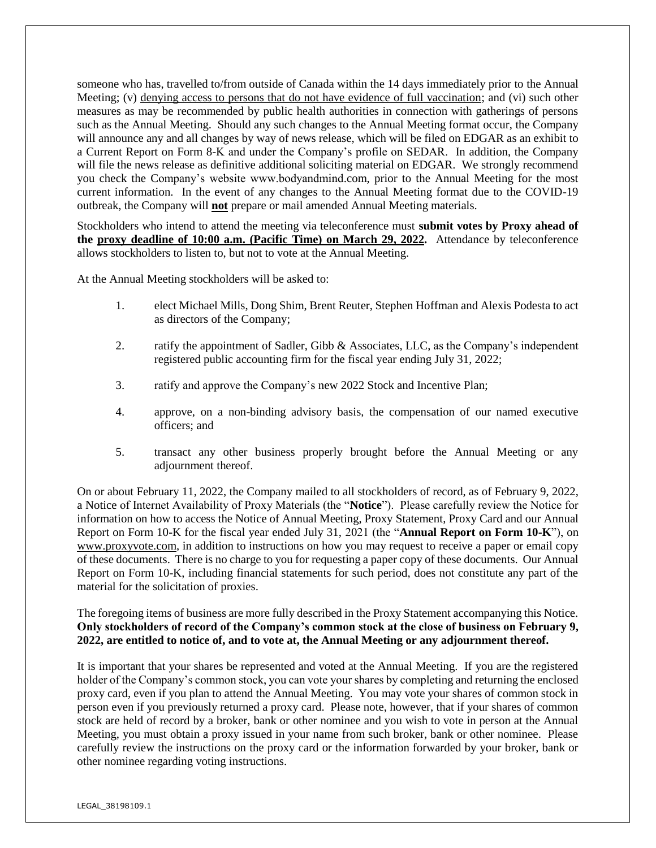someone who has, travelled to/from outside of Canada within the 14 days immediately prior to the Annual Meeting; (v) denying access to persons that do not have evidence of full vaccination; and (vi) such other measures as may be recommended by public health authorities in connection with gatherings of persons such as the Annual Meeting. Should any such changes to the Annual Meeting format occur, the Company will announce any and all changes by way of news release, which will be filed on EDGAR as an exhibit to a Current Report on Form 8-K and under the Company's profile on SEDAR. In addition, the Company will file the news release as definitive additional soliciting material on EDGAR. We strongly recommend you check the Company's website www.bodyandmind.com, prior to the Annual Meeting for the most current information. In the event of any changes to the Annual Meeting format due to the COVID-19 outbreak, the Company will **not** prepare or mail amended Annual Meeting materials.

Stockholders who intend to attend the meeting via teleconference must **submit votes by Proxy ahead of the proxy deadline of 10:00 a.m. (Pacific Time) on March 29, 2022.** Attendance by teleconference allows stockholders to listen to, but not to vote at the Annual Meeting.

At the Annual Meeting stockholders will be asked to:

- 1. elect Michael Mills, Dong Shim, Brent Reuter, Stephen Hoffman and Alexis Podesta to act as directors of the Company;
- 2. ratify the appointment of Sadler, Gibb & Associates, LLC, as the Company's independent registered public accounting firm for the fiscal year ending July 31, 2022;
- 3. ratify and approve the Company's new 2022 Stock and Incentive Plan;
- 4. approve, on a non-binding advisory basis, the compensation of our named executive officers; and
- 5. transact any other business properly brought before the Annual Meeting or any adjournment thereof.

On or about February 11, 2022, the Company mailed to all stockholders of record, as of February 9, 2022, a Notice of Internet Availability of Proxy Materials (the "**Notice**"). Please carefully review the Notice for information on how to access the Notice of Annual Meeting, Proxy Statement, Proxy Card and our Annual Report on Form 10-K for the fiscal year ended July 31, 2021 (the "**Annual Report on Form 10-K**"), on [www.proxyvote.com,](http://www.proxyvote.com/) in addition to instructions on how you may request to receive a paper or email copy of these documents. There is no charge to you for requesting a paper copy of these documents. Our Annual Report on Form 10-K, including financial statements for such period, does not constitute any part of the material for the solicitation of proxies.

The foregoing items of business are more fully described in the Proxy Statement accompanying this Notice. **Only stockholders of record of the Company's common stock at the close of business on February 9, 2022, are entitled to notice of, and to vote at, the Annual Meeting or any adjournment thereof.** 

It is important that your shares be represented and voted at the Annual Meeting. If you are the registered holder of the Company's common stock, you can vote your shares by completing and returning the enclosed proxy card, even if you plan to attend the Annual Meeting. You may vote your shares of common stock in person even if you previously returned a proxy card. Please note, however, that if your shares of common stock are held of record by a broker, bank or other nominee and you wish to vote in person at the Annual Meeting, you must obtain a proxy issued in your name from such broker, bank or other nominee. Please carefully review the instructions on the proxy card or the information forwarded by your broker, bank or other nominee regarding voting instructions.